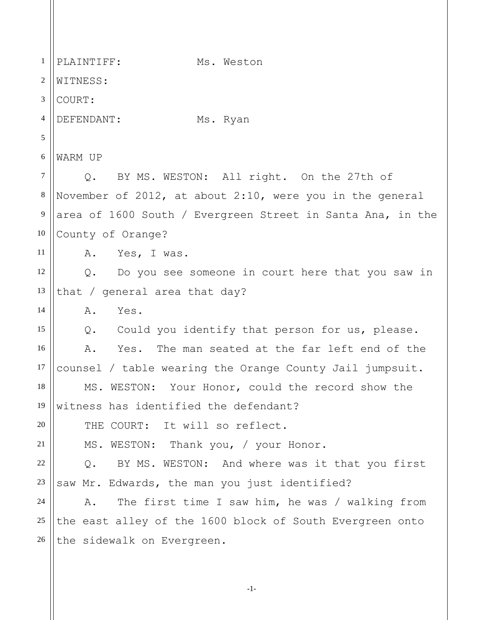1 2 3 4 5 6 7 8 9 10 11 12 13 14 15 16 17 18 19 20 21 22 23 24 25 26 PLAINTIFF: Ms. Weston WITNESS: COURT: DEFENDANT: Ms. Ryan WARM UP Q. BY MS. WESTON: All right. On the 27th of November of 2012, at about 2:10, were you in the general area of 1600 South / Evergreen Street in Santa Ana, in the County of Orange? A. Yes, I was. Q. Do you see someone in court here that you saw in that / general area that day? A. Yes. Q. Could you identify that person for us, please. A. Yes. The man seated at the far left end of the counsel / table wearing the Orange County Jail jumpsuit. MS. WESTON: Your Honor, could the record show the witness has identified the defendant? THE COURT: It will so reflect. MS. WESTON: Thank you, / your Honor. Q. BY MS. WESTON: And where was it that you first saw Mr. Edwards, the man you just identified? A. The first time I saw him, he was / walking from the east alley of the 1600 block of South Evergreen onto the sidewalk on Evergreen.

-1-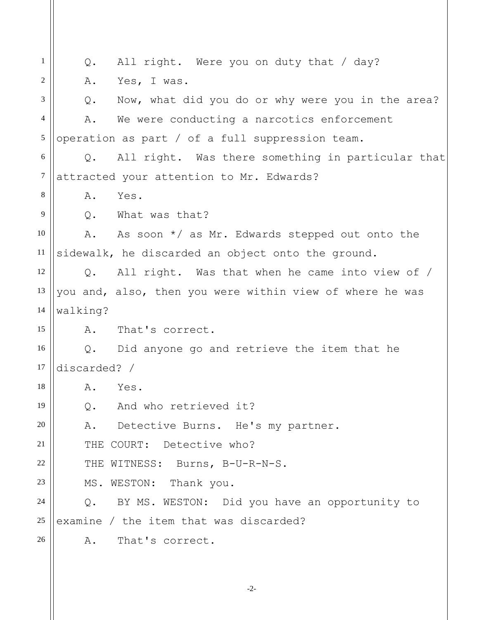1 2 3 4 5 6 7 8 9 10 11 12 13 14 15 16 17 18 19 20 21 22 23 24 25 26 Q. All right. Were you on duty that / day? A. Yes, I was. Q. Now, what did you do or why were you in the area? A. We were conducting a narcotics enforcement operation as part / of a full suppression team. Q. All right. Was there something in particular that attracted your attention to Mr. Edwards? A. Yes. Q. What was that? A. As soon \*/ as Mr. Edwards stepped out onto the sidewalk, he discarded an object onto the ground. Q. All right. Was that when he came into view of / you and, also, then you were within view of where he was walking? A. That's correct. Q. Did anyone go and retrieve the item that he discarded? / A. Yes. Q. And who retrieved it? A. Detective Burns. He's my partner. THE COURT: Detective who? THE WITNESS: Burns, B-U-R-N-S. MS. WESTON: Thank you. Q. BY MS. WESTON: Did you have an opportunity to examine / the item that was discarded? A. That's correct.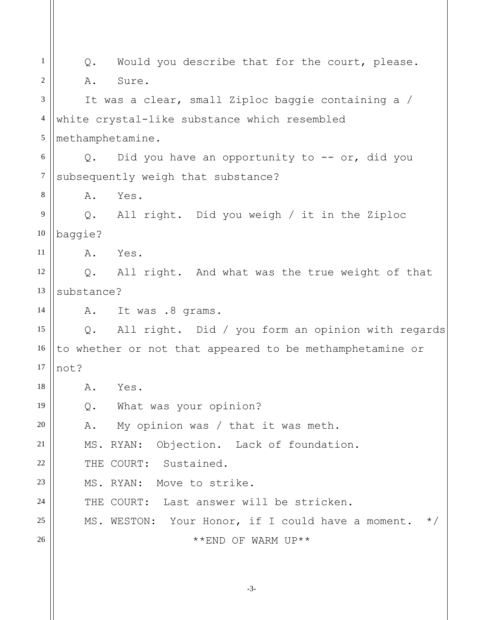1 2 3 4 5 6 7 8 9 10 11 12 13 14 15 16 17 18 19 20 21 22 23 24 25 26 Q. Would you describe that for the court, please. A. Sure. It was a clear, small Ziploc baggie containing a / white crystal-like substance which resembled methamphetamine. Q. Did you have an opportunity to -- or, did you subsequently weigh that substance? A. Yes. Q. All right. Did you weigh / it in the Ziploc baggie? A. Yes. Q. All right. And what was the true weight of that substance? A. It was .8 grams. Q. All right. Did / you form an opinion with regards to whether or not that appeared to be methamphetamine or not? A. Yes. Q. What was your opinion? A. My opinion was / that it was meth. MS. RYAN: Objection. Lack of foundation. THE COURT: Sustained. MS. RYAN: Move to strike. THE COURT: Last answer will be stricken. MS. WESTON: Your Honor, if I could have a moment.  $*/$ \*\*END OF WARM UP\*\*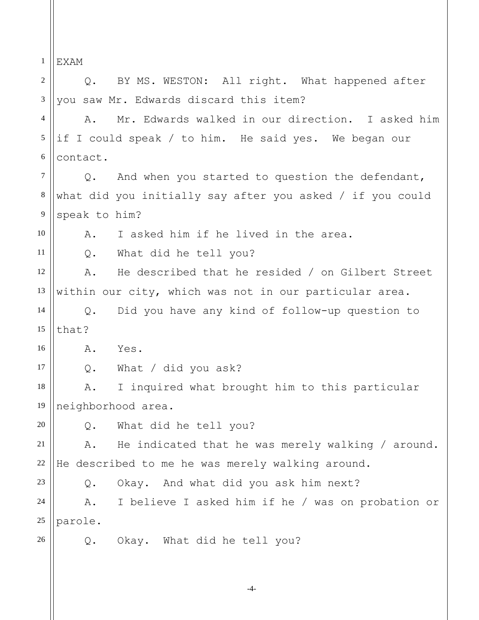-4- 1 2 3 4 5 6 7 8 9 10 11 12 13 14 15 16 17 18 19 20 21 22 23 24 25 26 EXAM Q. BY MS. WESTON: All right. What happened after you saw Mr. Edwards discard this item? A. Mr. Edwards walked in our direction. I asked him if I could speak / to him. He said yes. We began our contact. Q. And when you started to question the defendant, what did you initially say after you asked / if you could speak to him? A. I asked him if he lived in the area. Q. What did he tell you? A. He described that he resided / on Gilbert Street within our city, which was not in our particular area. Q. Did you have any kind of follow-up question to that? A. Yes. Q. What / did you ask? A. I inquired what brought him to this particular neighborhood area. Q. What did he tell you? A. He indicated that he was merely walking / around. He described to me he was merely walking around. Q. Okay. And what did you ask him next? A. I believe I asked him if he / was on probation or parole. Q. Okay. What did he tell you?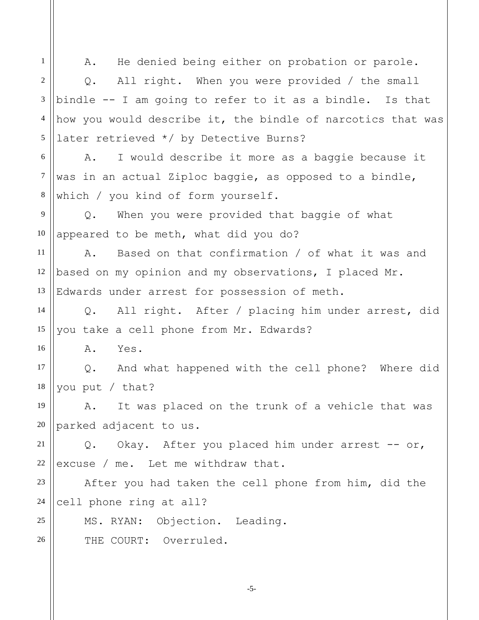1 2 3 4 5 6 7 8 9 10 11 12 13 14 15 16 17 18 19 20 21 22 23 24 25 26 A. He denied being either on probation or parole. Q. All right. When you were provided / the small bindle -- I am going to refer to it as a bindle. Is that how you would describe it, the bindle of narcotics that was later retrieved \*/ by Detective Burns? A. I would describe it more as a baggie because it was in an actual Ziploc baggie, as opposed to a bindle, which / you kind of form yourself. Q. When you were provided that baggie of what appeared to be meth, what did you do? A. Based on that confirmation / of what it was and based on my opinion and my observations, I placed Mr. Edwards under arrest for possession of meth. Q. All right. After / placing him under arrest, did you take a cell phone from Mr. Edwards? A. Yes. Q. And what happened with the cell phone? Where did you put / that? A. It was placed on the trunk of a vehicle that was parked adjacent to us. Q. Okay. After you placed him under arrest -- or, excuse / me. Let me withdraw that. After you had taken the cell phone from him, did the cell phone ring at all? MS. RYAN: Objection. Leading. THE COURT: Overruled.

-5-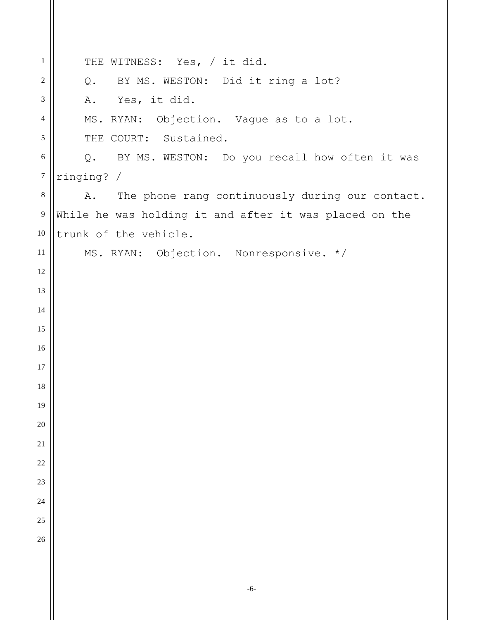| $\mathbf{1}$     | THE WITNESS: Yes, / it did.                            |
|------------------|--------------------------------------------------------|
| $\sqrt{2}$       | Q. BY MS. WESTON: Did it ring a lot?                   |
| $\mathfrak{Z}$   | A. Yes, it did.                                        |
| $\overline{4}$   | MS. RYAN: Objection. Vague as to a lot.                |
| $\mathfrak{S}$   | THE COURT: Sustained.                                  |
| 6                | Q. BY MS. WESTON: Do you recall how often it was       |
| $\boldsymbol{7}$ | ringing? /                                             |
| $8\,$            | The phone rang continuously during our contact.<br>A.  |
| $\overline{9}$   | While he was holding it and after it was placed on the |
| 10               | trunk of the vehicle.                                  |
| 11               | MS. RYAN: Objection. Nonresponsive. */                 |
| 12               |                                                        |
| 13               |                                                        |
| 14               |                                                        |
| 15               |                                                        |
| 16               |                                                        |
| 17               |                                                        |
| 18               |                                                        |
| 19               |                                                        |
| 20               |                                                        |
| 21               |                                                        |
| 22               |                                                        |
| 23               |                                                        |
| 24               |                                                        |
| 25               |                                                        |
| 26               |                                                        |
|                  |                                                        |
|                  |                                                        |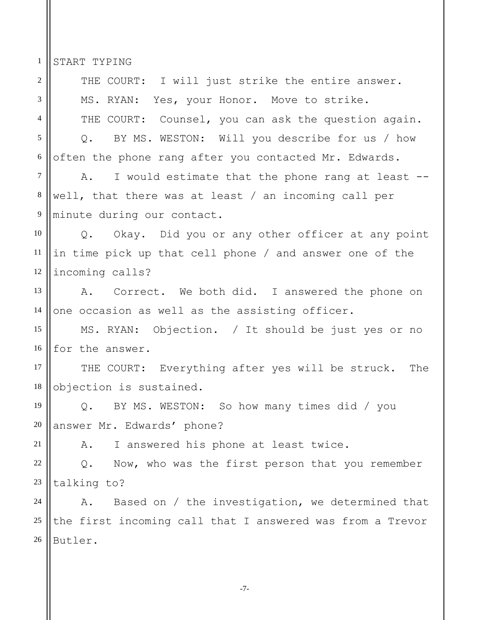1 START TYPING

| $\overline{2}$ | THE COURT: I will just strike the entire answer.          |
|----------------|-----------------------------------------------------------|
| 3              | MS. RYAN: Yes, your Honor. Move to strike.                |
| $\overline{4}$ | THE COURT: Counsel, you can ask the question again.       |
| 5              | Q. BY MS. WESTON: Will you describe for us / how          |
| $6\,$          | often the phone rang after you contacted Mr. Edwards.     |
| 7              | A. I would estimate that the phone rang at least --       |
| $\,8\,$        | well, that there was at least / an incoming call per      |
| 9              | minute during our contact.                                |
| 10             | Q. Okay. Did you or any other officer at any point        |
| 11             | in time pick up that cell phone / and answer one of the   |
| 12             | incoming calls?                                           |
| 13             | A. Correct. We both did. I answered the phone on          |
| 14             | one occasion as well as the assisting officer.            |
| 15             | MS. RYAN: Objection. / It should be just yes or no        |
| 16             | for the answer.                                           |
| 17             | THE COURT: Everything after yes will be struck. The       |
| 18             | objection is sustained.                                   |
| 19             | Q. BY MS. WESTON: So how many times did / you             |
| $20\,$         | answer Mr. Edwards' phone?                                |
| 21             | I answered his phone at least twice.<br>Α.                |
| 22             | Now, who was the first person that you remember<br>$Q$ .  |
| 23             | talking to?                                               |
| 24             | Based on / the investigation, we determined that<br>Α.    |
| 25             | the first incoming call that I answered was from a Trevor |
| 26             | Butler.                                                   |
|                |                                                           |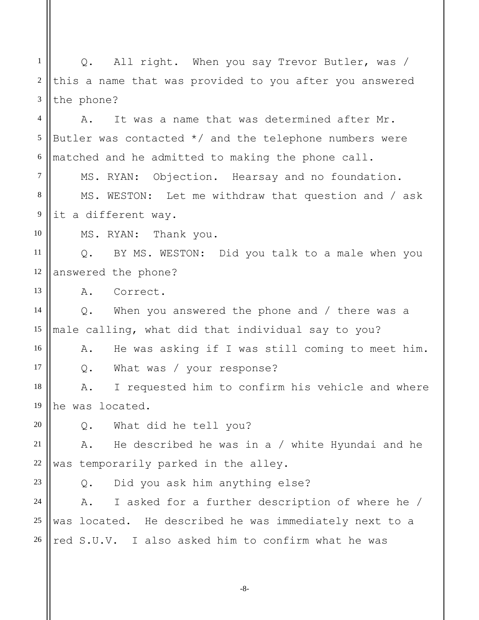1 2 3 Q. All right. When you say Trevor Butler, was / this a name that was provided to you after you answered the phone?

4 5 6 A. It was a name that was determined after Mr. Butler was contacted  $*/$  and the telephone numbers were matched and he admitted to making the phone call.

7 8 9 MS. RYAN: Objection. Hearsay and no foundation. MS. WESTON: Let me withdraw that question and / ask it a different way.

MS. RYAN: Thank you.

11 12 Q. BY MS. WESTON: Did you talk to a male when you answered the phone?

13 A. Correct.

14 15 Q. When you answered the phone and / there was a male calling, what did that individual say to you?

16 17 A. He was asking if I was still coming to meet him. Q. What was / your response?

18 19 A. I requested him to confirm his vehicle and where he was located.

20 Q. What did he tell you?

21 22 A. He described he was in a / white Hyundai and he was temporarily parked in the alley.

23

10

Q. Did you ask him anything else?

24 25 26 A. I asked for a further description of where he / was located. He described he was immediately next to a red S.U.V. I also asked him to confirm what he was

-8-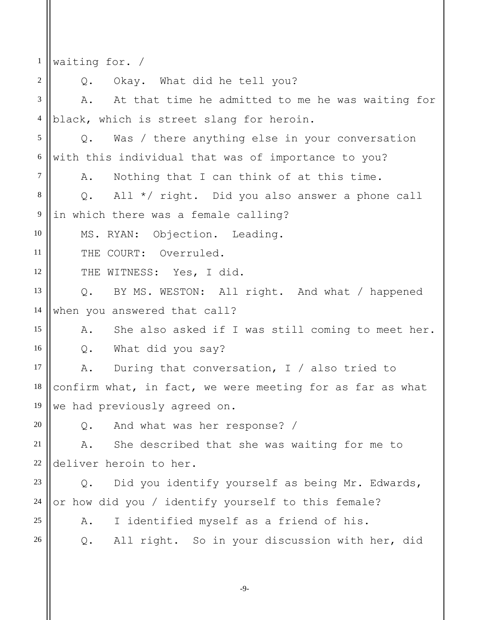1 2 3 4 5 6 7 8 9 10 11 12 13 14 15 16 17 18 19 20 21 22 23 24 25 26 waiting for. / Q. Okay. What did he tell you? A. At that time he admitted to me he was waiting for black, which is street slang for heroin. Q. Was / there anything else in your conversation with this individual that was of importance to you? A. Nothing that I can think of at this time. Q. All \*/ right. Did you also answer a phone call in which there was a female calling? MS. RYAN: Objection. Leading. THE COURT: Overruled. THE WITNESS: Yes, I did. Q. BY MS. WESTON: All right. And what / happened when you answered that call? A. She also asked if I was still coming to meet her. Q. What did you say? A. During that conversation, I / also tried to confirm what, in fact, we were meeting for as far as what we had previously agreed on. Q. And what was her response? / A. She described that she was waiting for me to deliver heroin to her. Q. Did you identify yourself as being Mr. Edwards, or how did you / identify yourself to this female? A. I identified myself as a friend of his. Q. All right. So in your discussion with her, did

-9-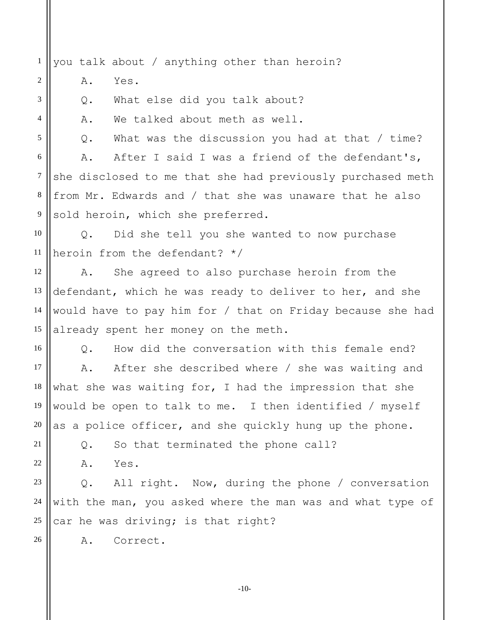1 you talk about / anything other than heroin?

A. Yes.

2

3

4

5

Q. What else did you talk about?

A. We talked about meth as well.

Q. What was the discussion you had at that / time?

6 7 8 9 A. After I said I was a friend of the defendant's, she disclosed to me that she had previously purchased meth from Mr. Edwards and / that she was unaware that he also sold heroin, which she preferred.

10 11 Q. Did she tell you she wanted to now purchase heroin from the defendant? \*/

12 13 14 15 A. She agreed to also purchase heroin from the defendant, which he was ready to deliver to her, and she would have to pay him for / that on Friday because she had already spent her money on the meth.

16 17 18 19 20 Q. How did the conversation with this female end? A. After she described where / she was waiting and what she was waiting for, I had the impression that she would be open to talk to me. I then identified / myself as a police officer, and she quickly hung up the phone.

Q. So that terminated the phone call?

A. Yes.

21

22

26

23 24 25 Q. All right. Now, during the phone / conversation with the man, you asked where the man was and what type of car he was driving; is that right?

A. Correct.

-10-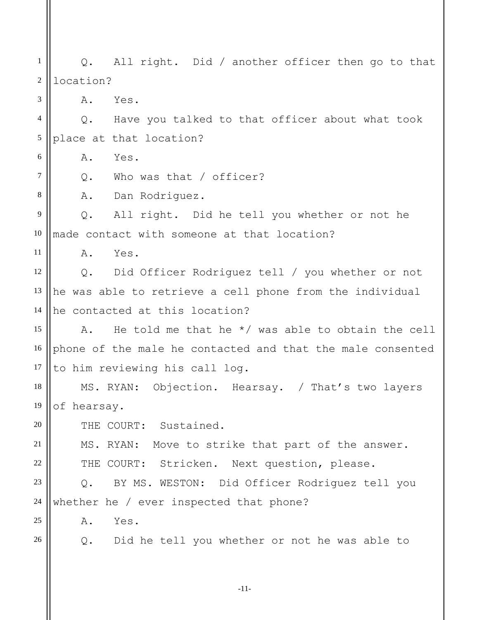1 2 3 4 5 6 7 8 9 10 11 12 13 14 15 16 17 18 19 20 21 22 23 24 25 26 Q. All right. Did / another officer then go to that location? A. Yes. Q. Have you talked to that officer about what took place at that location? A. Yes. Q. Who was that / officer? A. Dan Rodriguez. Q. All right. Did he tell you whether or not he made contact with someone at that location? A. Yes. Q. Did Officer Rodriguez tell / you whether or not he was able to retrieve a cell phone from the individual he contacted at this location? A. He told me that he \*/ was able to obtain the cell phone of the male he contacted and that the male consented to him reviewing his call log. MS. RYAN: Objection. Hearsay. / That's two layers of hearsay. THE COURT: Sustained. MS. RYAN: Move to strike that part of the answer. THE COURT: Stricken. Next question, please. Q. BY MS. WESTON: Did Officer Rodriguez tell you whether he / ever inspected that phone? A. Yes. Q. Did he tell you whether or not he was able to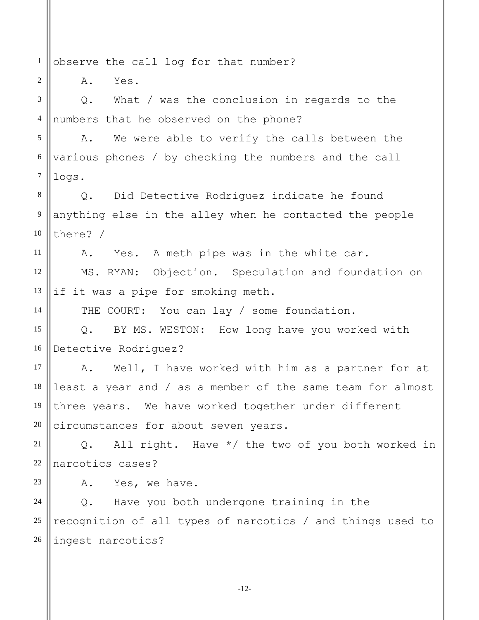1 observe the call log for that number?

A. Yes.

2

11

14

3 4 Q. What / was the conclusion in regards to the numbers that he observed on the phone?

5 6 7 A. We were able to verify the calls between the various phones / by checking the numbers and the call logs.

8 9 10 Q. Did Detective Rodriguez indicate he found anything else in the alley when he contacted the people there? /

A. Yes. A meth pipe was in the white car.

12 13 MS. RYAN: Objection. Speculation and foundation on if it was a pipe for smoking meth.

THE COURT: You can lay / some foundation.

15 16 Q. BY MS. WESTON: How long have you worked with Detective Rodriguez?

17 18 19 20 A. Well, I have worked with him as a partner for at least a year and / as a member of the same team for almost three years. We have worked together under different circumstances for about seven years.

21 22 Q. All right. Have \*/ the two of you both worked in narcotics cases?

23

A. Yes, we have.

24 25 26 Q. Have you both undergone training in the recognition of all types of narcotics / and things used to ingest narcotics?

-12-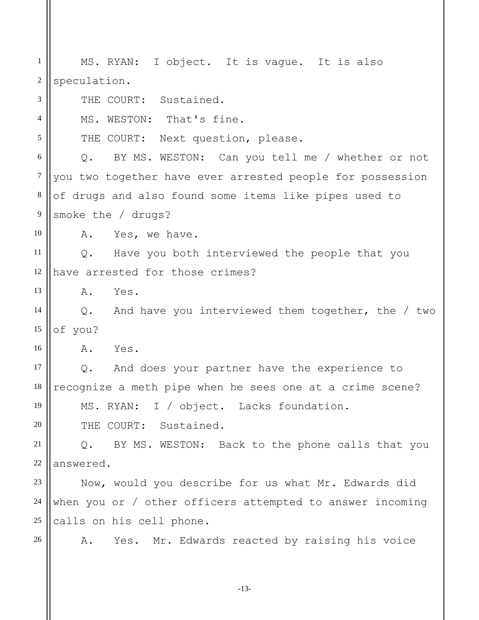1 2 3 4 5 6 7 8 9 10 11 12 13 14 15 16 17 18 19 20 21 22 23 24 25 26 MS. RYAN: I object. It is vague. It is also speculation. THE COURT: Sustained. MS. WESTON: That's fine. THE COURT: Next question, please. Q. BY MS. WESTON: Can you tell me / whether or not you two together have ever arrested people for possession of drugs and also found some items like pipes used to smoke the / drugs? A. Yes, we have. Q. Have you both interviewed the people that you have arrested for those crimes? A. Yes. Q. And have you interviewed them together, the / two of you? A. Yes. Q. And does your partner have the experience to recognize a meth pipe when he sees one at a crime scene? MS. RYAN: I / object. Lacks foundation. THE COURT: Sustained. Q. BY MS. WESTON: Back to the phone calls that you answered. Now, would you describe for us what Mr. Edwards did when you or / other officers attempted to answer incoming calls on his cell phone. A. Yes. Mr. Edwards reacted by raising his voice

-13-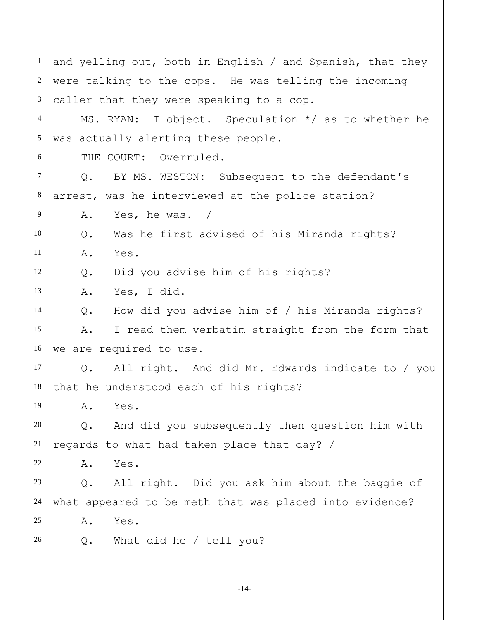1 2 3 4 5 6 7 8 9 10 11 12 13 14 15 16 17 18 19 20 21 22 23 24 25 26 and yelling out, both in English / and Spanish, that they were talking to the cops. He was telling the incoming caller that they were speaking to a cop. MS. RYAN: I object. Speculation \*/ as to whether he was actually alerting these people. THE COURT: Overruled. Q. BY MS. WESTON: Subsequent to the defendant's arrest, was he interviewed at the police station? A. Yes, he was. / Q. Was he first advised of his Miranda rights? A. Yes. Q. Did you advise him of his rights? A. Yes, I did. Q. How did you advise him of / his Miranda rights? A. I read them verbatim straight from the form that we are required to use. Q. All right. And did Mr. Edwards indicate to / you that he understood each of his rights? A. Yes. Q. And did you subsequently then question him with regards to what had taken place that day? / A. Yes. Q. All right. Did you ask him about the baggie of what appeared to be meth that was placed into evidence? A. Yes. Q. What did he / tell you?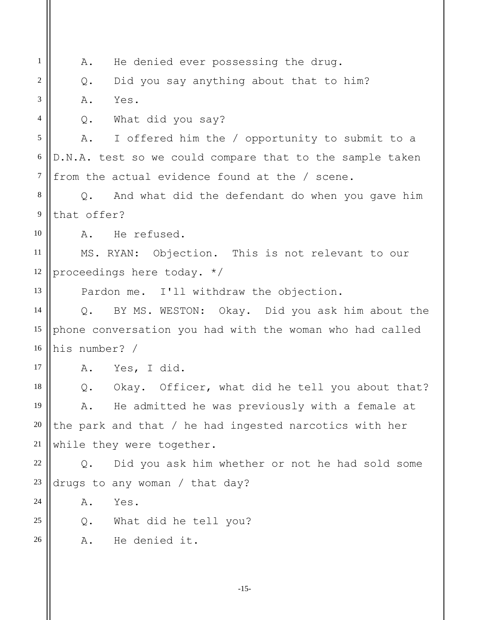1 2 3 4 5 6 7 8 9 10 11 12 13 14 15 16 17 18 19 20 21 22 23 24 25 26 A. He denied ever possessing the drug. Q. Did you say anything about that to him? A. Yes. Q. What did you say? A. I offered him the / opportunity to submit to a D.N.A. test so we could compare that to the sample taken from the actual evidence found at the / scene. Q. And what did the defendant do when you gave him that offer? A. He refused. MS. RYAN: Objection. This is not relevant to our proceedings here today. \*/ Pardon me. I'll withdraw the objection. Q. BY MS. WESTON: Okay. Did you ask him about the phone conversation you had with the woman who had called his number? / A. Yes, I did. Q. Okay. Officer, what did he tell you about that? A. He admitted he was previously with a female at the park and that / he had ingested narcotics with her while they were together. Q. Did you ask him whether or not he had sold some drugs to any woman / that day? A. Yes. Q. What did he tell you? A. He denied it.

-15-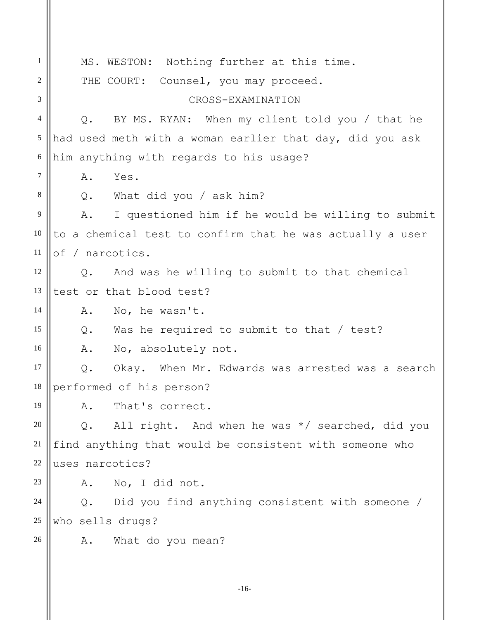1 2 3 4 5 6 7 8 9 10 11 12 13 14 15 16 17 18 19 20 21 22 23 24 25 26 MS. WESTON: Nothing further at this time. THE COURT: Counsel, you may proceed. CROSS-EXAMINATION Q. BY MS. RYAN: When my client told you / that he had used meth with a woman earlier that day, did you ask him anything with regards to his usage? A. Yes. Q. What did you / ask him? A. I questioned him if he would be willing to submit to a chemical test to confirm that he was actually a user of / narcotics. Q. And was he willing to submit to that chemical test or that blood test? A. No, he wasn't. Q. Was he required to submit to that / test? A. No, absolutely not. Q. Okay. When Mr. Edwards was arrested was a search performed of his person? A. That's correct. Q. All right. And when he was \*/ searched, did you find anything that would be consistent with someone who uses narcotics? A. No, I did not. Q. Did you find anything consistent with someone / who sells drugs? A. What do you mean?

-16-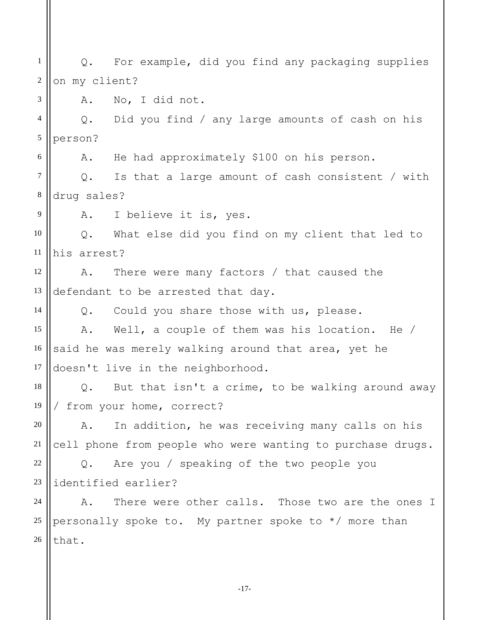1 2 3 4 5 6 7 8 9 10 11 12 13 14 15 16 17 18 19 20 21 22 23 24 25 26 Q. For example, did you find any packaging supplies on my client? A. No, I did not. Q. Did you find / any large amounts of cash on his person? A. He had approximately \$100 on his person. Q. Is that a large amount of cash consistent / with drug sales? A. I believe it is, yes. Q. What else did you find on my client that led to his arrest? A. There were many factors / that caused the defendant to be arrested that day. Q. Could you share those with us, please. A. Well, a couple of them was his location. He / said he was merely walking around that area, yet he doesn't live in the neighborhood. Q. But that isn't a crime, to be walking around away / from your home, correct? A. In addition, he was receiving many calls on his cell phone from people who were wanting to purchase drugs. Q. Are you / speaking of the two people you identified earlier? A. There were other calls. Those two are the ones I personally spoke to. My partner spoke to  $*/$  more than that.

-17-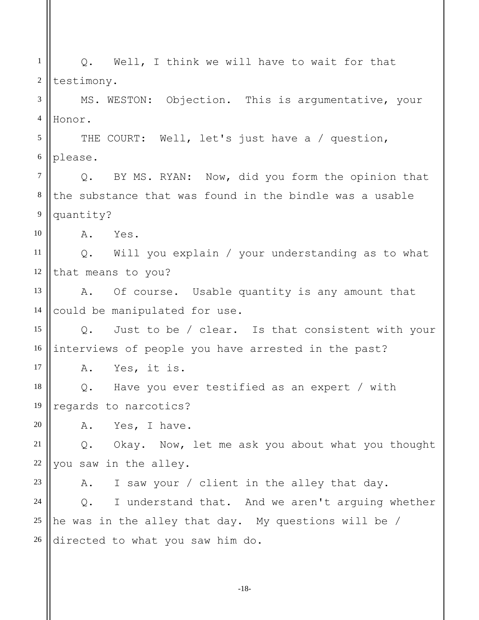1 2 3 4 5 6 7 8 9 10 11 12 13 14 15 16 17 18 19 20 21 22 23 24 25 26 Q. Well, I think we will have to wait for that testimony. MS. WESTON: Objection. This is argumentative, your Honor. THE COURT: Well, let's just have a / question, please. Q. BY MS. RYAN: Now, did you form the opinion that the substance that was found in the bindle was a usable quantity? A. Yes. Q. Will you explain / your understanding as to what that means to you? A. Of course. Usable quantity is any amount that could be manipulated for use. Q. Just to be / clear. Is that consistent with your interviews of people you have arrested in the past? A. Yes, it is. Q. Have you ever testified as an expert / with regards to narcotics? A. Yes, I have. Q. Okay. Now, let me ask you about what you thought you saw in the alley. A. I saw your / client in the alley that day. Q. I understand that. And we aren't arguing whether he was in the alley that day. My questions will be / directed to what you saw him do.